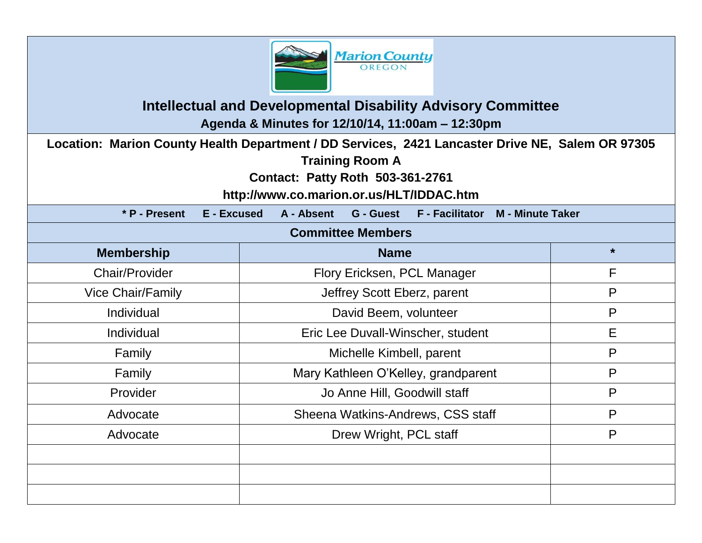

## **Intellectual and Developmental Disability Advisory Committee Agenda & Minutes for 12/10/14, 11:00am – 12:30pm**

**Location: Marion County Health Department / DD Services, 2421 Lancaster Drive NE, Salem OR 97305**

**Training Room A**

**Contact: Patty Roth 503-361-2761**

**http://www.co.marion.or.us/HLT/IDDAC.htm**

| <b>E</b> - Excused<br>* P - Present | A - Absent<br><b>G</b> - Guest<br><b>F</b> - Facilitator<br><b>M - Minute Taker</b> |         |  |  |
|-------------------------------------|-------------------------------------------------------------------------------------|---------|--|--|
| <b>Committee Members</b>            |                                                                                     |         |  |  |
| <b>Membership</b>                   | <b>Name</b>                                                                         | $\star$ |  |  |
| <b>Chair/Provider</b>               | Flory Ericksen, PCL Manager                                                         | F       |  |  |
| <b>Vice Chair/Family</b>            | Jeffrey Scott Eberz, parent                                                         | P       |  |  |
| Individual                          | P<br>David Beem, volunteer                                                          |         |  |  |
| Individual                          | Eric Lee Duvall-Winscher, student                                                   | E       |  |  |
| Family                              | Michelle Kimbell, parent                                                            | P       |  |  |
| Family                              | Mary Kathleen O'Kelley, grandparent                                                 | P       |  |  |
| Provider                            | Jo Anne Hill, Goodwill staff                                                        | P       |  |  |
| Advocate                            | Sheena Watkins-Andrews, CSS staff                                                   | P       |  |  |
| Advocate                            | Drew Wright, PCL staff                                                              | P       |  |  |
|                                     |                                                                                     |         |  |  |
|                                     |                                                                                     |         |  |  |
|                                     |                                                                                     |         |  |  |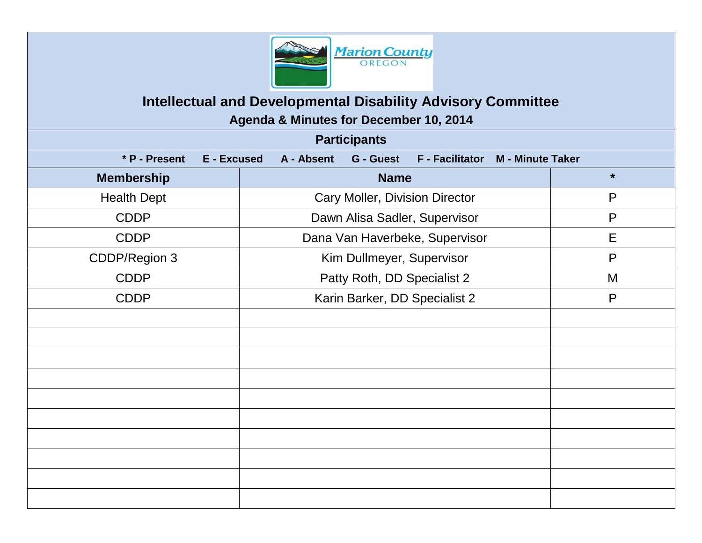

# **Intellectual and Developmental Disability Advisory Committee**

**Agenda & Minutes for December 10, 2014**

| <b>Participants</b> |             |                                               |             |                        |                         |         |
|---------------------|-------------|-----------------------------------------------|-------------|------------------------|-------------------------|---------|
| * P - Present       | E - Excused | A - Absent                                    | G - Guest   | <b>F</b> - Facilitator | <b>M</b> - Minute Taker |         |
| <b>Membership</b>   |             |                                               | <b>Name</b> |                        |                         | $\star$ |
| <b>Health Dept</b>  |             | <b>Cary Moller, Division Director</b>         |             | $\mathsf{P}$           |                         |         |
| <b>CDDP</b>         |             | $\mathsf{P}$<br>Dawn Alisa Sadler, Supervisor |             |                        |                         |         |
| <b>CDDP</b>         |             | E<br>Dana Van Haverbeke, Supervisor           |             |                        |                         |         |
| CDDP/Region 3       |             | $\mathsf{P}$<br>Kim Dullmeyer, Supervisor     |             |                        |                         |         |
| <b>CDDP</b>         |             | Patty Roth, DD Specialist 2<br>M              |             |                        |                         |         |
| <b>CDDP</b>         |             | P<br>Karin Barker, DD Specialist 2            |             |                        |                         |         |
|                     |             |                                               |             |                        |                         |         |
|                     |             |                                               |             |                        |                         |         |
|                     |             |                                               |             |                        |                         |         |
|                     |             |                                               |             |                        |                         |         |
|                     |             |                                               |             |                        |                         |         |
|                     |             |                                               |             |                        |                         |         |
|                     |             |                                               |             |                        |                         |         |
|                     |             |                                               |             |                        |                         |         |
|                     |             |                                               |             |                        |                         |         |
|                     |             |                                               |             |                        |                         |         |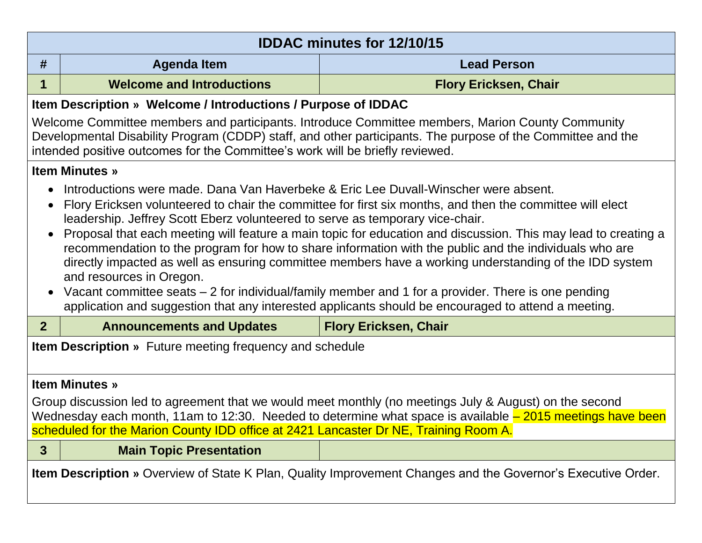| <b>IDDAC minutes for 12/10/15</b>                                                                                                                                                                                                                                                                                                                                                                                                                                                                                                                                                                                                                                                                                                                                                                                                                                                                       |                                                               |                              |  |  |  |
|---------------------------------------------------------------------------------------------------------------------------------------------------------------------------------------------------------------------------------------------------------------------------------------------------------------------------------------------------------------------------------------------------------------------------------------------------------------------------------------------------------------------------------------------------------------------------------------------------------------------------------------------------------------------------------------------------------------------------------------------------------------------------------------------------------------------------------------------------------------------------------------------------------|---------------------------------------------------------------|------------------------------|--|--|--|
| #                                                                                                                                                                                                                                                                                                                                                                                                                                                                                                                                                                                                                                                                                                                                                                                                                                                                                                       | <b>Agenda Item</b>                                            | <b>Lead Person</b>           |  |  |  |
| 1                                                                                                                                                                                                                                                                                                                                                                                                                                                                                                                                                                                                                                                                                                                                                                                                                                                                                                       | <b>Welcome and Introductions</b>                              | <b>Flory Ericksen, Chair</b> |  |  |  |
|                                                                                                                                                                                                                                                                                                                                                                                                                                                                                                                                                                                                                                                                                                                                                                                                                                                                                                         | Item Description » Welcome / Introductions / Purpose of IDDAC |                              |  |  |  |
| Welcome Committee members and participants. Introduce Committee members, Marion County Community<br>Developmental Disability Program (CDDP) staff, and other participants. The purpose of the Committee and the<br>intended positive outcomes for the Committee's work will be briefly reviewed.                                                                                                                                                                                                                                                                                                                                                                                                                                                                                                                                                                                                        |                                                               |                              |  |  |  |
|                                                                                                                                                                                                                                                                                                                                                                                                                                                                                                                                                                                                                                                                                                                                                                                                                                                                                                         | <b>Item Minutes »</b>                                         |                              |  |  |  |
| Introductions were made. Dana Van Haverbeke & Eric Lee Duvall-Winscher were absent.<br>Flory Ericksen volunteered to chair the committee for first six months, and then the committee will elect<br>$\bullet$<br>leadership. Jeffrey Scott Eberz volunteered to serve as temporary vice-chair.<br>Proposal that each meeting will feature a main topic for education and discussion. This may lead to creating a<br>$\bullet$<br>recommendation to the program for how to share information with the public and the individuals who are<br>directly impacted as well as ensuring committee members have a working understanding of the IDD system<br>and resources in Oregon.<br>Vacant committee seats – 2 for individual/family member and 1 for a provider. There is one pending<br>$\bullet$<br>application and suggestion that any interested applicants should be encouraged to attend a meeting. |                                                               |                              |  |  |  |
| 2 <sup>1</sup>                                                                                                                                                                                                                                                                                                                                                                                                                                                                                                                                                                                                                                                                                                                                                                                                                                                                                          | <b>Announcements and Updates</b>                              | <b>Flory Ericksen, Chair</b> |  |  |  |
| <b>Item Description</b> » Future meeting frequency and schedule                                                                                                                                                                                                                                                                                                                                                                                                                                                                                                                                                                                                                                                                                                                                                                                                                                         |                                                               |                              |  |  |  |
| <b>Item Minutes »</b>                                                                                                                                                                                                                                                                                                                                                                                                                                                                                                                                                                                                                                                                                                                                                                                                                                                                                   |                                                               |                              |  |  |  |
| Group discussion led to agreement that we would meet monthly (no meetings July & August) on the second<br>Wednesday each month, 11am to 12:30. Needed to determine what space is available - 2015 meetings have been<br>scheduled for the Marion County IDD office at 2421 Lancaster Dr NE, Training Room A.                                                                                                                                                                                                                                                                                                                                                                                                                                                                                                                                                                                            |                                                               |                              |  |  |  |
|                                                                                                                                                                                                                                                                                                                                                                                                                                                                                                                                                                                                                                                                                                                                                                                                                                                                                                         |                                                               |                              |  |  |  |
| $\mathbf{3}$                                                                                                                                                                                                                                                                                                                                                                                                                                                                                                                                                                                                                                                                                                                                                                                                                                                                                            | <b>Main Topic Presentation</b>                                |                              |  |  |  |
| Item Description » Overview of State K Plan, Quality Improvement Changes and the Governor's Executive Order.                                                                                                                                                                                                                                                                                                                                                                                                                                                                                                                                                                                                                                                                                                                                                                                            |                                                               |                              |  |  |  |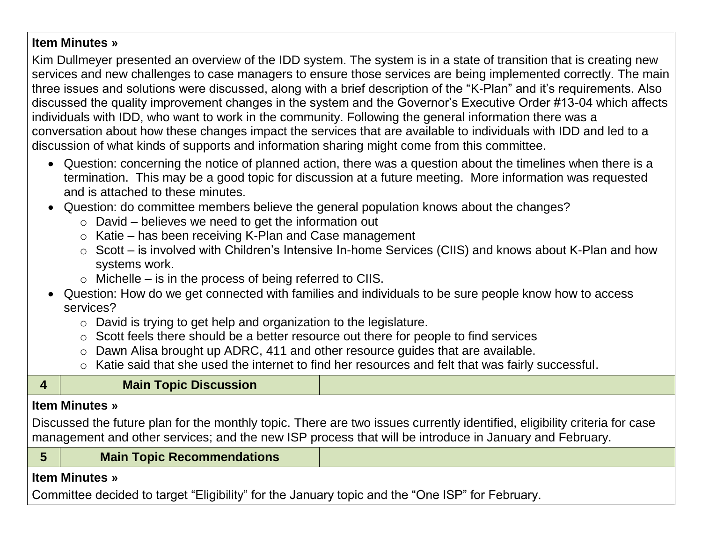#### **Item Minutes »**

Kim Dullmeyer presented an overview of the IDD system. The system is in a state of transition that is creating new services and new challenges to case managers to ensure those services are being implemented correctly. The main three issues and solutions were discussed, along with a brief description of the "K-Plan" and it's requirements. Also discussed the quality improvement changes in the system and the Governor's Executive Order #13-04 which affects individuals with IDD, who want to work in the community. Following the general information there was a conversation about how these changes impact the services that are available to individuals with IDD and led to a discussion of what kinds of supports and information sharing might come from this committee.

- Question: concerning the notice of planned action, there was a question about the timelines when there is a termination. This may be a good topic for discussion at a future meeting. More information was requested and is attached to these minutes.
- Question: do committee members believe the general population knows about the changes?
	- $\circ$  David believes we need to get the information out
	- o Katie has been receiving K-Plan and Case management
	- o Scott is involved with Children's Intensive In-home Services (CIIS) and knows about K-Plan and how systems work.
	- $\circ$  Michelle is in the process of being referred to CIIS.
- Question: How do we get connected with families and individuals to be sure people know how to access services?
	- o David is trying to get help and organization to the legislature.
	- o Scott feels there should be a better resource out there for people to find services
	- o Dawn Alisa brought up ADRC, 411 and other resource guides that are available.
	- o Katie said that she used the internet to find her resources and felt that was fairly successful.

|                                                                                                                                                                                                                                     | $\circ$ rate said that site used the interfect to find the resources and felt that was failly successful. |  |  |  |
|-------------------------------------------------------------------------------------------------------------------------------------------------------------------------------------------------------------------------------------|-----------------------------------------------------------------------------------------------------------|--|--|--|
|                                                                                                                                                                                                                                     | <b>Main Topic Discussion</b>                                                                              |  |  |  |
| <b>Item Minutes</b> »                                                                                                                                                                                                               |                                                                                                           |  |  |  |
| Discussed the future plan for the monthly topic. There are two issues currently identified, eligibility criteria for case<br>management and other services; and the new ISP process that will be introduce in January and February. |                                                                                                           |  |  |  |
| 5                                                                                                                                                                                                                                   | <b>Main Topic Recommendations</b>                                                                         |  |  |  |
|                                                                                                                                                                                                                                     | <b>Item Minutes</b> »                                                                                     |  |  |  |

Committee decided to target "Eligibility" for the January topic and the "One ISP" for February.